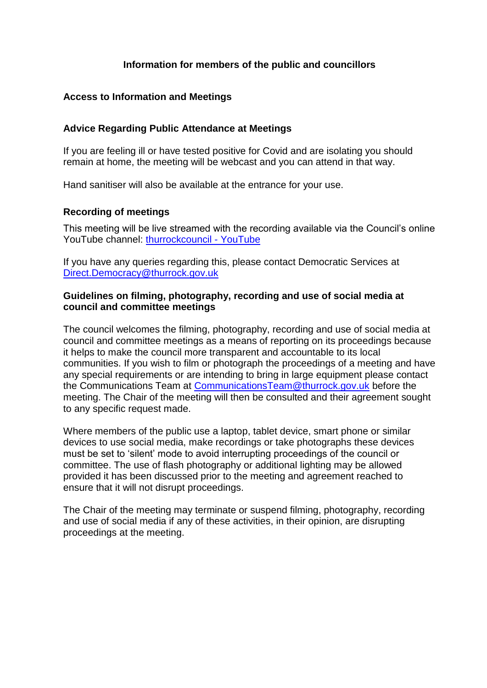### **Information for members of the public and councillors**

#### **Access to Information and Meetings**

#### **Advice Regarding Public Attendance at Meetings**

If you are feeling ill or have tested positive for Covid and are isolating you should remain at home, the meeting will be webcast and you can attend in that way.

Hand sanitiser will also be available at the entrance for your use.

#### **Recording of meetings**

This meeting will be live streamed with the recording available via the Council's online YouTube channel: [thurrockcouncil -](https://www.youtube.com/user/thurrockcouncil) YouTube

If you have any queries regarding this, please contact Democratic Services at [Direct.Democracy@thurrock.gov.uk](mailto:Direct.Democracy@thurrock.gov.uk)

#### **Guidelines on filming, photography, recording and use of social media at council and committee meetings**

The council welcomes the filming, photography, recording and use of social media at council and committee meetings as a means of reporting on its proceedings because it helps to make the council more transparent and accountable to its local communities. If you wish to film or photograph the proceedings of a meeting and have any special requirements or are intending to bring in large equipment please contact the Communications Team at [CommunicationsTeam@thurrock.gov.uk](mailto:CommunicationsTeam@thurrock.gov.uk) before the meeting. The Chair of the meeting will then be consulted and their agreement sought to any specific request made.

Where members of the public use a laptop, tablet device, smart phone or similar devices to use social media, make recordings or take photographs these devices must be set to 'silent' mode to avoid interrupting proceedings of the council or committee. The use of flash photography or additional lighting may be allowed provided it has been discussed prior to the meeting and agreement reached to ensure that it will not disrupt proceedings.

The Chair of the meeting may terminate or suspend filming, photography, recording and use of social media if any of these activities, in their opinion, are disrupting proceedings at the meeting.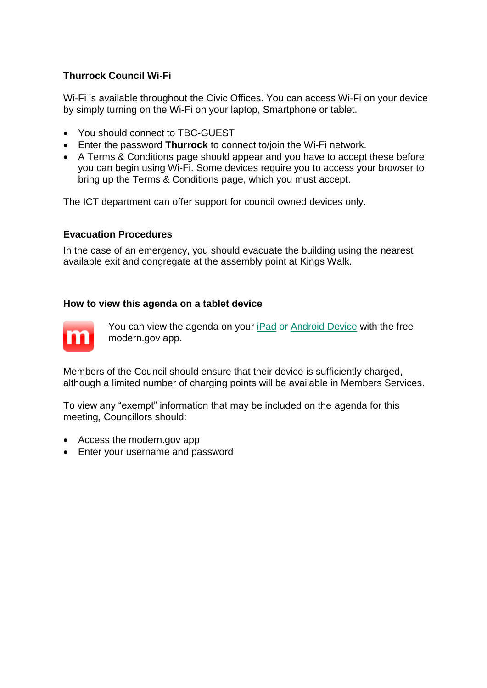## **Thurrock Council Wi-Fi**

Wi-Fi is available throughout the Civic Offices. You can access Wi-Fi on your device by simply turning on the Wi-Fi on your laptop, Smartphone or tablet.

- You should connect to TBC-GUEST
- Enter the password **Thurrock** to connect to/join the Wi-Fi network.
- A Terms & Conditions page should appear and you have to accept these before you can begin using Wi-Fi. Some devices require you to access your browser to bring up the Terms & Conditions page, which you must accept.

The ICT department can offer support for council owned devices only.

#### **Evacuation Procedures**

In the case of an emergency, you should evacuate the building using the nearest available exit and congregate at the assembly point at Kings Walk.

#### **How to view this agenda on a tablet device**



You can view the agenda on your [iPad](https://itunes.apple.com/gb/app/mod.gov/id508417355?mt=8) or [Android Device](https://play.google.com/store/apps/details?id=uk.co.moderngov.modgov&hl=en) with the free modern.gov app.

Members of the Council should ensure that their device is sufficiently charged, although a limited number of charging points will be available in Members Services.

To view any "exempt" information that may be included on the agenda for this meeting, Councillors should:

- Access the modern.gov app
- Enter your username and password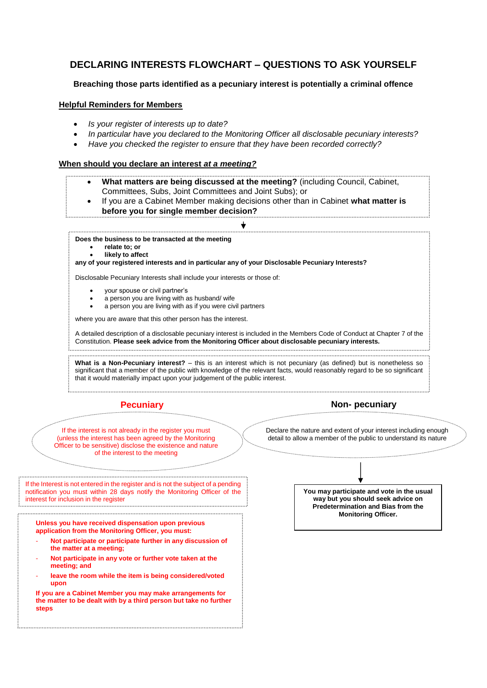## **DECLARING INTERESTS FLOWCHART – QUESTIONS TO ASK YOURSELF**

#### **Breaching those parts identified as a pecuniary interest is potentially a criminal offence**

#### **Helpful Reminders for Members**

- *Is your register of interests up to date?*
- *In particular have you declared to the Monitoring Officer all disclosable pecuniary interests?*
- *Have you checked the register to ensure that they have been recorded correctly?*

#### **When should you declare an interest** *at a meeting?*

- **What matters are being discussed at the meeting?** (including Council, Cabinet, Committees, Subs, Joint Committees and Joint Subs); or
- If you are a Cabinet Member making decisions other than in Cabinet **what matter is before you for single member decision?**

**Does the business to be transacted at the meeting** 

- **relate to; or**
- **likely to affect**

**any of your registered interests and in particular any of your Disclosable Pecuniary Interests?** 

Disclosable Pecuniary Interests shall include your interests or those of:

- your spouse or civil partner's
- a person you are living with as husband/ wife
- a person you are living with as if you were civil partners

where you are aware that this other person has the interest.

A detailed description of a disclosable pecuniary interest is included in the Members Code of Conduct at Chapter 7 of the Constitution. **Please seek advice from the Monitoring Officer about disclosable pecuniary interests.** 

**What is a Non-Pecuniary interest?** – this is an interest which is not pecuniary (as defined) but is nonetheless so significant that a member of the public with knowledge of the relevant facts, would reasonably regard to be so significant that it would materially impact upon your judgement of the public interest.



If the interest is not already in the register you must (unless the interest has been agreed by the Monitoring Officer to be sensitive) disclose the existence and nature of the interest to the meeting

Declare the nature and extent of your interest including enough detail to allow a member of the public to understand its nature

If the Interest is not entered in the register and is not the subject of a pending notification you must within 28 days notify the Monitoring Officer of the interest for inclusion in the register<br>incommutation in the register<br>incommutation in the register content in the register of the register of the register of the register of the r

**Unless you have received dispensation upon previous application from the Monitoring Officer, you must:**

- **Not participate or participate further in any discussion of the matter at a meeting;**
- **Not participate in any vote or further vote taken at the meeting; and**
- leave the room while the item is being considered/voted **upon**

**If you are a Cabinet Member you may make arrangements for the matter to be dealt with by a third person but take no further steps**

**You may participate and vote in the usual way but you should seek advice on Predetermination and Bias from the Monitoring Officer.**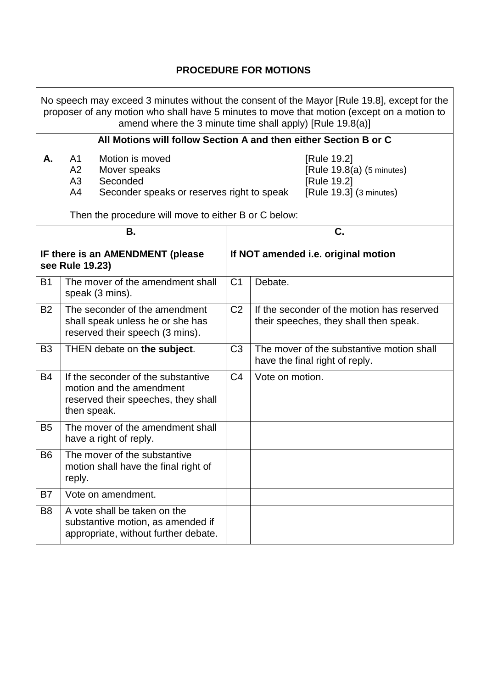## **PROCEDURE FOR MOTIONS**

٦

| No speech may exceed 3 minutes without the consent of the Mayor [Rule 19.8], except for the<br>proposer of any motion who shall have 5 minutes to move that motion (except on a motion to<br>amend where the 3 minute time shall apply) [Rule 19.8(a)] |                                                                                                                               |  |                                                                                    |                                                                                      |  |  |
|--------------------------------------------------------------------------------------------------------------------------------------------------------------------------------------------------------------------------------------------------------|-------------------------------------------------------------------------------------------------------------------------------|--|------------------------------------------------------------------------------------|--------------------------------------------------------------------------------------|--|--|
| All Motions will follow Section A and then either Section B or C                                                                                                                                                                                       |                                                                                                                               |  |                                                                                    |                                                                                      |  |  |
| Α.                                                                                                                                                                                                                                                     | Motion is moved<br>A <sub>1</sub><br>A2<br>Mover speaks<br>A3<br>Seconded<br>A4<br>Seconder speaks or reserves right to speak |  | [Rule 19.2]<br>[Rule 19.8(a) (5 minutes)<br>[Rule 19.2]<br>[Rule 19.3] (3 minutes) |                                                                                      |  |  |
| Then the procedure will move to either B or C below:                                                                                                                                                                                                   |                                                                                                                               |  |                                                                                    |                                                                                      |  |  |
| Β.                                                                                                                                                                                                                                                     |                                                                                                                               |  |                                                                                    | C.                                                                                   |  |  |
| IF there is an AMENDMENT (please<br>see Rule 19.23)                                                                                                                                                                                                    |                                                                                                                               |  | If NOT amended i.e. original motion                                                |                                                                                      |  |  |
| <b>B1</b>                                                                                                                                                                                                                                              | The mover of the amendment shall<br>speak (3 mins).                                                                           |  | C <sub>1</sub>                                                                     | Debate.                                                                              |  |  |
| <b>B2</b>                                                                                                                                                                                                                                              | The seconder of the amendment<br>shall speak unless he or she has<br>reserved their speech (3 mins).                          |  | C <sub>2</sub>                                                                     | If the seconder of the motion has reserved<br>their speeches, they shall then speak. |  |  |
| B <sub>3</sub>                                                                                                                                                                                                                                         | THEN debate on the subject.                                                                                                   |  | C <sub>3</sub>                                                                     | The mover of the substantive motion shall<br>have the final right of reply.          |  |  |
| <b>B4</b>                                                                                                                                                                                                                                              | If the seconder of the substantive<br>motion and the amendment<br>reserved their speeches, they shall<br>then speak.          |  | C <sub>4</sub>                                                                     | Vote on motion.                                                                      |  |  |
| <b>B5</b>                                                                                                                                                                                                                                              | The mover of the amendment shall<br>have a right of reply.                                                                    |  |                                                                                    |                                                                                      |  |  |
| B <sub>6</sub>                                                                                                                                                                                                                                         | The mover of the substantive<br>motion shall have the final right of<br>reply.                                                |  |                                                                                    |                                                                                      |  |  |
| B7                                                                                                                                                                                                                                                     | Vote on amendment.                                                                                                            |  |                                                                                    |                                                                                      |  |  |
| B <sub>8</sub>                                                                                                                                                                                                                                         | A vote shall be taken on the<br>substantive motion, as amended if<br>appropriate, without further debate.                     |  |                                                                                    |                                                                                      |  |  |